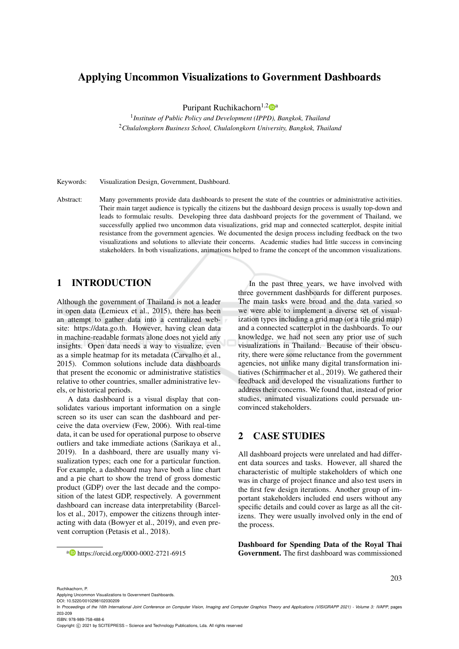# Applying Uncommon Visualizations to Government Dashboards

Puripant Ruchikachorn<sup>1,2</sup> a

1 *Institute of Public Policy and Development (IPPD), Bangkok, Thailand* <sup>2</sup>*Chulalongkorn Business School, Chulalongkorn University, Bangkok, Thailand*

Keywords: Visualization Design, Government, Dashboard.

Abstract: Many governments provide data dashboards to present the state of the countries or administrative activities. Their main target audience is typically the citizens but the dashboard design process is usually top-down and leads to formulaic results. Developing three data dashboard projects for the government of Thailand, we successfully applied two uncommon data visualizations, grid map and connected scatterplot, despite initial resistance from the government agencies. We documented the design process including feedback on the two visualizations and solutions to alleviate their concerns. Academic studies had little success in convincing stakeholders. In both visualizations, animations helped to frame the concept of the uncommon visualizations.

## 1 INTRODUCTION

Although the government of Thailand is not a leader in open data (Lemieux et al., 2015), there has been an attempt to gather data into a centralized website: https://data.go.th. However, having clean data in machine-readable formats alone does not yield any insights. Open data needs a way to visualize, even as a simple heatmap for its metadata (Carvalho et al., 2015). Common solutions include data dashboards that present the economic or administrative statistics relative to other countries, smaller administrative levels, or historical periods.

A data dashboard is a visual display that consolidates various important information on a single screen so its user can scan the dashboard and perceive the data overview (Few, 2006). With real-time data, it can be used for operational purpose to observe outliers and take immediate actions (Sarikaya et al., 2019). In a dashboard, there are usually many visualization types; each one for a particular function. For example, a dashboard may have both a line chart and a pie chart to show the trend of gross domestic product (GDP) over the last decade and the composition of the latest GDP, respectively. A government dashboard can increase data interpretability (Barcellos et al., 2017), empower the citizens through interacting with data (Bowyer et al., 2019), and even prevent corruption (Petasis et al., 2018).

In the past three years, we have involved with three government dashboards for different purposes. The main tasks were broad and the data varied so we were able to implement a diverse set of visualization types including a grid map (or a tile grid map) and a connected scatterplot in the dashboards. To our knowledge, we had not seen any prior use of such visualizations in Thailand. Because of their obscurity, there were some reluctance from the government agencies, not unlike many digital transformation initiatives (Schirrmacher et al., 2019). We gathered their feedback and developed the visualizations further to address their concerns. We found that, instead of prior studies, animated visualizations could persuade unconvinced stakeholders.

## 2 CASE STUDIES

All dashboard projects were unrelated and had different data sources and tasks. However, all shared the characteristic of multiple stakeholders of which one was in charge of project finance and also test users in the first few design iterations. Another group of important stakeholders included end users without any specific details and could cover as large as all the citizens. They were usually involved only in the end of the process.

Dashboard for Spending Data of the Royal Thai Government. The first dashboard was commissioned

<sup>a</sup> https://orcid.org/0000-0002-2721-6915

Ruchikachorn, P.

Applying Uncommon Visualizations to Government Dashboards.

Copyright © 2021 by SCITEPRESS - Science and Technology Publications, Lda. All rights reserved

DOI: 10.5220/0010298102030209

In *Proceedings of the 16th International Joint Conference on Computer Vision, Imaging and Computer Graphics Theory and Applications (VISIGRAPP 2021) - Volume 3: IVAPP*, pages 203-209

ISBN: 978-989-758-488-6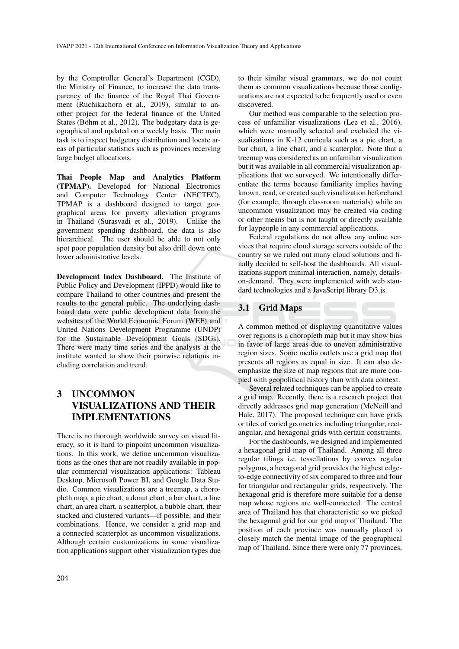by the Comptroller General's Department (CGD), the Ministry of Finance, to increase the data transparency of the finance of the Royal Thai Government (Ruchikachorn et al., 2019), similar to another project for the federal finance of the United States (Böhm et al., 2012). The budgetary data is geographical and updated on a weekly basis. The main task is to inspect budgetary distribution and locate areas of particular statistics such as provinces receiving large budget allocations.

Thai People Map and Analytics Platform (TPMAP). Developed for National Electronics and Computer Technology Center (NECTEC), TPMAP is a dashboard designed to target geographical areas for poverty alleviation programs in Thailand (Surasvadi et al., 2019). Unlike the government spending dashboard, the data is also hierarchical. The user should be able to not only spot poor population density but also drill down onto lower administrative levels.

Development Index Dashboard. The Institute of Public Policy and Development (IPPD) would like to compare Thailand to other countries and present the results to the general public. The underlying dashboard data were public development data from the websites of the World Economic Forum (WEF) and United Nations Development Programme (UNDP) for the Sustainable Development Goals (SDGs). There were many time series and the analysts at the institute wanted to show their pairwise relations including correlation and trend.

# 3 UNCOMMON VISUALIZATIONS AND THEIR IMPLEMENTATIONS

There is no thorough worldwide survey on visual literacy, so it is hard to pinpoint uncommon visualizations. In this work, we define uncommon visualizations as the ones that are not readily available in popular commercial visualization applications: Tableau Desktop, Microsoft Power BI, and Google Data Studio. Common visualizations are a treemap, a choropleth map, a pie chart, a donut chart, a bar chart, a line chart, an area chart, a scatterplot, a bubble chart, their stacked and clustered variants—if possible, and their combinations. Hence, we consider a grid map and a connected scatterplot as uncommon visualizations. Although certain customizations in some visualization applications support other visualization types due

to their similar visual grammars, we do not count them as common visualizations because those configurations are not expected to be frequently used or even discovered.

Our method was comparable to the selection process of unfamiliar visualizations (Lee et al., 2016), which were manually selected and excluded the visualizations in K-12 curricula such as a pie chart, a bar chart, a line chart, and a scatterplot. Note that a treemap was considered as an unfamiliar visualization but it was available in all commercial visualization applications that we surveyed. We intentionally differentiate the terms because familiarity implies having known, read, or created such visualization beforehand (for example, through classroom materials) while an uncommon visualization may be created via coding or other means but is not taught or directly available for laypeople in any commercial applications.

Federal regulations do not allow any online services that require cloud storage servers outside of the country so we ruled out many cloud solutions and finally decided to self-host the dashboards. All visualizations support minimal interaction, namely, detailson-demand. They were implemented with web standard technologies and a JavaScript library D3.js.

### 3.1 Grid Maps

A common method of displaying quantitative values over regions is a choropleth map but it may show bias in favor of large areas due to uneven administrative region sizes. Some media outlets use a grid map that presents all regions as equal in size. It can also deemphasize the size of map regions that are more coupled with geopolitical history than with data context.

Several related techniques can be applied to create a grid map. Recently, there is a research project that directly addresses grid map generation (McNeill and Hale, 2017). The proposed technique can have grids or tiles of varied geometries including triangular, rectangular, and hexagonal grids with certain constraints.

For the dashboards, we designed and implemented a hexagonal grid map of Thailand. Among all three regular tilings i.e. tessellations by convex regular polygons, a hexagonal grid provides the highest edgeto-edge connectivity of six compared to three and four for triangular and rectangular grids, respectively. The hexagonal grid is therefore more suitable for a dense map whose regions are well-connected. The central area of Thailand has that characteristic so we picked the hexagonal grid for our grid map of Thailand. The position of each province was manually placed to closely match the mental image of the geographical map of Thailand. Since there were only 77 provinces,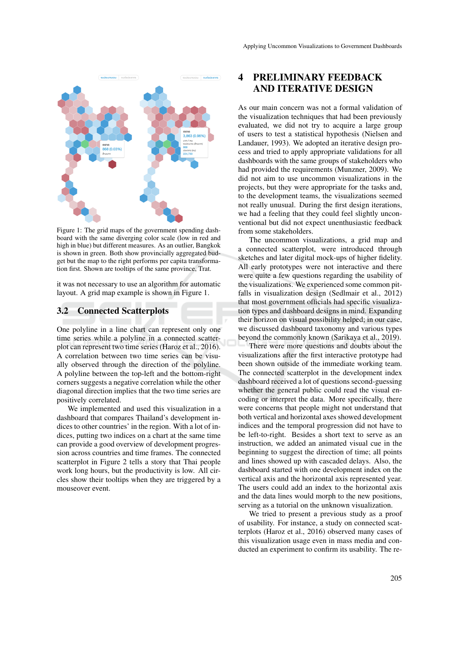

Figure 1: The grid maps of the government spending dashboard with the same diverging color scale (low in red and high in blue) but different measures. As an outlier, Bangkok is shown in green. Both show provincially aggregated budget but the map to the right performs per capita transformation first. Shown are tooltips of the same province, Trat.

it was not necessary to use an algorithm for automatic layout. A grid map example is shown in Figure 1.

#### 3.2 Connected Scatterplots

One polyline in a line chart can represent only one time series while a polyline in a connected scatterplot can represent two time series (Haroz et al., 2016). A correlation between two time series can be visually observed through the direction of the polyline. A polyline between the top-left and the bottom-right corners suggests a negative correlation while the other diagonal direction implies that the two time series are positively correlated.

We implemented and used this visualization in a dashboard that compares Thailand's development indices to other countries' in the region. With a lot of indices, putting two indices on a chart at the same time can provide a good overview of development progression across countries and time frames. The connected scatterplot in Figure 2 tells a story that Thai people work long hours, but the productivity is low. All circles show their tooltips when they are triggered by a mouseover event.

# 4 PRELIMINARY FEEDBACK AND ITERATIVE DESIGN

As our main concern was not a formal validation of the visualization techniques that had been previously evaluated, we did not try to acquire a large group of users to test a statistical hypothesis (Nielsen and Landauer, 1993). We adopted an iterative design process and tried to apply appropriate validations for all dashboards with the same groups of stakeholders who had provided the requirements (Munzner, 2009). We did not aim to use uncommon visualizations in the projects, but they were appropriate for the tasks and, to the development teams, the visualizations seemed not really unusual. During the first design iterations, we had a feeling that they could feel slightly unconventional but did not expect unenthusiastic feedback from some stakeholders.

The uncommon visualizations, a grid map and a connected scatterplot, were introduced through sketches and later digital mock-ups of higher fidelity. All early prototypes were not interactive and there were quite a few questions regarding the usability of the visualizations. We experienced some common pitfalls in visualization design (Sedlmair et al., 2012) that most government officials had specific visualization types and dashboard designs in mind. Expanding their horizon on visual possibility helped; in our case, we discussed dashboard taxonomy and various types beyond the commonly known (Sarikaya et al., 2019).

There were more questions and doubts about the visualizations after the first interactive prototype had been shown outside of the immediate working team. The connected scatterplot in the development index dashboard received a lot of questions second-guessing whether the general public could read the visual encoding or interpret the data. More specifically, there were concerns that people might not understand that both vertical and horizontal axes showed development indices and the temporal progression did not have to be left-to-right. Besides a short text to serve as an instruction, we added an animated visual cue in the beginning to suggest the direction of time; all points and lines showed up with cascaded delays. Also, the dashboard started with one development index on the vertical axis and the horizontal axis represented year. The users could add an index to the horizontal axis and the data lines would morph to the new positions, serving as a tutorial on the unknown visualization.

We tried to present a previous study as a proof of usability. For instance, a study on connected scatterplots (Haroz et al., 2016) observed many cases of this visualization usage even in mass media and conducted an experiment to confirm its usability. The re-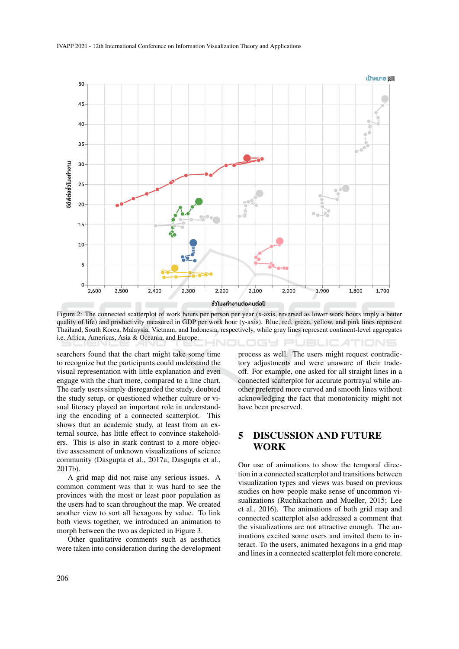

Figure 2: The connected scatterplot of work hours per person per year (x-axis, reversed as lower work hours imply a better quality of life) and productivity measured in GDP per work hour (y-axis). Blue, red, green, yellow, and pink lines represent Thailand, South Korea, Malaysia, Vietnam, and Indonesia, respectively, while gray lines represent continent-level aggregates i.e. Africa, Americas, Asia & Oceania, and Europe. NOLOGY PUBLIC*A*TIONS

searchers found that the chart might take some time to recognize but the participants could understand the visual representation with little explanation and even engage with the chart more, compared to a line chart. The early users simply disregarded the study, doubted the study setup, or questioned whether culture or visual literacy played an important role in understanding the encoding of a connected scatterplot. This shows that an academic study, at least from an external source, has little effect to convince stakeholders. This is also in stark contrast to a more objective assessment of unknown visualizations of science community (Dasgupta et al., 2017a; Dasgupta et al., 2017b).

A grid map did not raise any serious issues. A common comment was that it was hard to see the provinces with the most or least poor population as the users had to scan throughout the map. We created another view to sort all hexagons by value. To link both views together, we introduced an animation to morph between the two as depicted in Figure 3.

Other qualitative comments such as aesthetics were taken into consideration during the development

process as well. The users might request contradictory adjustments and were unaware of their tradeoff. For example, one asked for all straight lines in a connected scatterplot for accurate portrayal while another preferred more curved and smooth lines without acknowledging the fact that monotonicity might not have been preserved.

## 5 DISCUSSION AND FUTURE WORK

Our use of animations to show the temporal direction in a connected scatterplot and transitions between visualization types and views was based on previous studies on how people make sense of uncommon visualizations (Ruchikachorn and Mueller, 2015; Lee et al., 2016). The animations of both grid map and connected scatterplot also addressed a comment that the visualizations are not attractive enough. The animations excited some users and invited them to interact. To the users, animated hexagons in a grid map and lines in a connected scatterplot felt more concrete.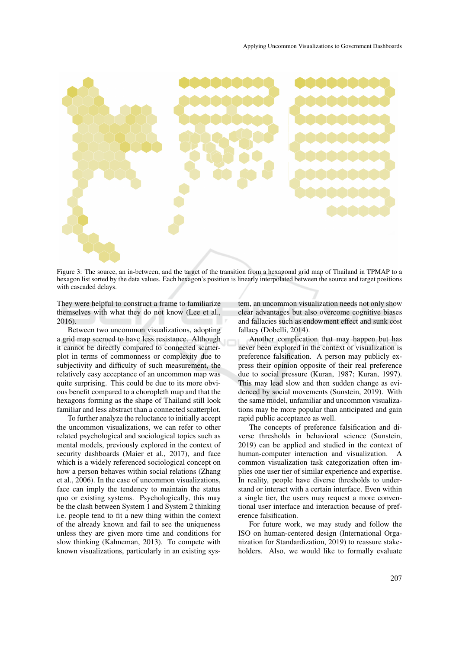

Figure 3: The source, an in-between, and the target of the transition from a hexagonal grid map of Thailand in TPMAP to a hexagon list sorted by the data values. Each hexagon's position is linearly interpolated between the source and target positions with cascaded delays.

They were helpful to construct a frame to familiarize themselves with what they do not know (Lee et al., 2016).

Between two uncommon visualizations, adopting a grid map seemed to have less resistance. Although it cannot be directly compared to connected scatterplot in terms of commonness or complexity due to subjectivity and difficulty of such measurement, the relatively easy acceptance of an uncommon map was quite surprising. This could be due to its more obvious benefit compared to a choropleth map and that the hexagons forming as the shape of Thailand still look familiar and less abstract than a connected scatterplot.

To further analyze the reluctance to initially accept the uncommon visualizations, we can refer to other related psychological and sociological topics such as mental models, previously explored in the context of security dashboards (Maier et al., 2017), and face which is a widely referenced sociological concept on how a person behaves within social relations (Zhang et al., 2006). In the case of uncommon visualizations, face can imply the tendency to maintain the status quo or existing systems. Psychologically, this may be the clash between System 1 and System 2 thinking i.e. people tend to fit a new thing within the context of the already known and fail to see the uniqueness unless they are given more time and conditions for slow thinking (Kahneman, 2013). To compete with known visualizations, particularly in an existing system, an uncommon visualization needs not only show clear advantages but also overcome cognitive biases and fallacies such as endowment effect and sunk cost fallacy (Dobelli, 2014).

Another complication that may happen but has never been explored in the context of visualization is preference falsification. A person may publicly express their opinion opposite of their real preference due to social pressure (Kuran, 1987; Kuran, 1997). This may lead slow and then sudden change as evidenced by social movements (Sunstein, 2019). With the same model, unfamiliar and uncommon visualizations may be more popular than anticipated and gain rapid public acceptance as well.

The concepts of preference falsification and diverse thresholds in behavioral science (Sunstein, 2019) can be applied and studied in the context of human-computer interaction and visualization. A common visualization task categorization often implies one user tier of similar experience and expertise. In reality, people have diverse thresholds to understand or interact with a certain interface. Even within a single tier, the users may request a more conventional user interface and interaction because of preference falsification.

For future work, we may study and follow the ISO on human-centered design (International Organization for Standardization, 2019) to reassure stakeholders. Also, we would like to formally evaluate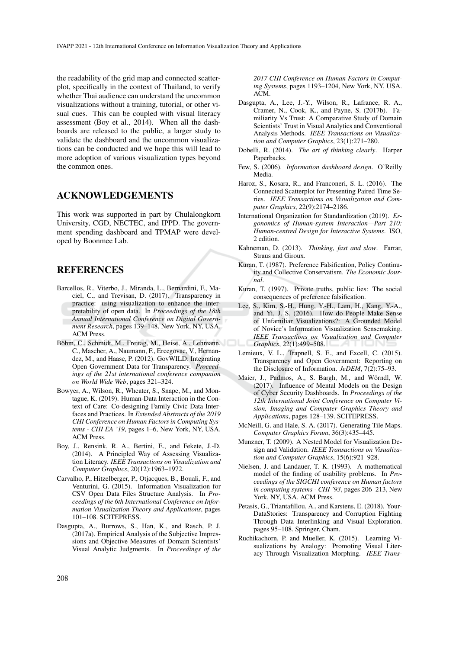the readability of the grid map and connected scatterplot, specifically in the context of Thailand, to verify whether Thai audience can understand the uncommon visualizations without a training, tutorial, or other visual cues. This can be coupled with visual literacy assessment (Boy et al., 2014). When all the dashboards are released to the public, a larger study to validate the dashboard and the uncommon visualizations can be conducted and we hope this will lead to more adoption of various visualization types beyond the common ones.

#### ACKNOWLEDGEMENTS

This work was supported in part by Chulalongkorn University, CGD, NECTEC, and IPPD. The government spending dashboard and TPMAP were developed by Boonmee Lab.

### **REFERENCES**

- Barcellos, R., Viterbo, J., Miranda, L., Bernardini, F., Maciel, C., and Trevisan, D. (2017). Transparency in practice: using visualization to enhance the interpretability of open data. In *Proceedings of the 18th Annual International Conference on Digital Government Research*, pages 139–148, New York, NY, USA. ACM Press.
- Böhm, C., Schmidt, M., Freitag, M., Heise, A., Lehmann, C., Mascher, A., Naumann, F., Ercegovac, V., Hernandez, M., and Haase, P. (2012). GovWILD: Integrating Open Government Data for Transparency. *Proceedings of the 21st international conference companion on World Wide Web*, pages 321–324.
- Bowyer, A., Wilson, R., Wheater, S., Snape, M., and Montague, K. (2019). Human-Data Interaction in the Context of Care: Co-designing Family Civic Data Interfaces and Practices. In *Extended Abstracts of the 2019 CHI Conference on Human Factors in Computing Systems - CHI EA '19*, pages 1–6, New York, NY, USA. ACM Press.
- Boy, J., Rensink, R. A., Bertini, E., and Fekete, J.-D. (2014). A Principled Way of Assessing Visualization Literacy. *IEEE Transactions on Visualization and Computer Graphics*, 20(12):1963–1972.
- Carvalho, P., Hitzelberger, P., Otjacques, B., Bouali, F., and Venturini, G. (2015). Information Visualization for CSV Open Data Files Structure Analysis. In *Proceedings of the 6th International Conference on Information Visualization Theory and Applications*, pages 101–108. SCITEPRESS.
- Dasgupta, A., Burrows, S., Han, K., and Rasch, P. J. (2017a). Empirical Analysis of the Subjective Impressions and Objective Measures of Domain Scientists' Visual Analytic Judgments. In *Proceedings of the*

*2017 CHI Conference on Human Factors in Computing Systems*, pages 1193–1204, New York, NY, USA. ACM.

- Dasgupta, A., Lee, J.-Y., Wilson, R., Lafrance, R. A., Cramer, N., Cook, K., and Payne, S. (2017b). Familiarity Vs Trust: A Comparative Study of Domain Scientists' Trust in Visual Analytics and Conventional Analysis Methods. *IEEE Transactions on Visualization and Computer Graphics*, 23(1):271–280.
- Dobelli, R. (2014). *The art of thinking clearly*. Harper Paperbacks.
- Few, S. (2006). *Information dashboard design*. O'Reilly Media.
- Haroz, S., Kosara, R., and Franconeri, S. L. (2016). The Connected Scatterplot for Presenting Paired Time Series. *IEEE Transactions on Visualization and Computer Graphics*, 22(9):2174–2186.
- International Organization for Standardization (2019). *Ergonomics of Human-system Interaction—Part 210: Human-centred Design for Interactive Systems*. ISO, 2 edition.
- Kahneman, D. (2013). *Thinking, fast and slow*. Farrar, Straus and Giroux.
- Kuran, T. (1987). Preference Falsification, Policy Continuity and Collective Conservatism. *The Economic Journal*.
- Kuran, T. (1997). Private truths, public lies: The social consequences of preference falsification.
- Lee, S., Kim, S.-H., Hung, Y.-H., Lam, H., Kang, Y.-A., and Yi, J. S. (2016). How do People Make Sense of Unfamiliar Visualizations?: A Grounded Model of Novice's Information Visualization Sensemaking. *IEEE Transactions on Visualization and Computer Graphics*, 22(1):499–508.
- Lemieux, V. L., Trapnell, S. E., and Excell, C. (2015). Transparency and Open Government: Reporting on the Disclosure of Information. *JeDEM*, 7(2):75–93.
- Maier, J., Padmos, A., S. Bargh, M., and Wörndl, W. (2017). Influence of Mental Models on the Design of Cyber Security Dashboards. In *Proceedings of the 12th International Joint Conference on Computer Vision, Imaging and Computer Graphics Theory and Applications*, pages 128–139. SCITEPRESS.
- McNeill, G. and Hale, S. A. (2017). Generating Tile Maps. *Computer Graphics Forum*, 36(3):435–445.
- Munzner, T. (2009). A Nested Model for Visualization Design and Validation. *IEEE Transactions on Visualization and Computer Graphics*, 15(6):921–928.
- Nielsen, J. and Landauer, T. K. (1993). A mathematical model of the finding of usability problems. In *Proceedings of the SIGCHI conference on Human factors in computing systems - CHI '93*, pages 206–213, New York, NY, USA. ACM Press.
- Petasis, G., Triantafillou, A., and Karstens, E. (2018). Your-DataStories: Transparency and Corruption Fighting Through Data Interlinking and Visual Exploration. pages 95–108. Springer, Cham.
- Ruchikachorn, P. and Mueller, K. (2015). Learning Visualizations by Analogy: Promoting Visual Literacy Through Visualization Morphing. *IEEE Trans-*